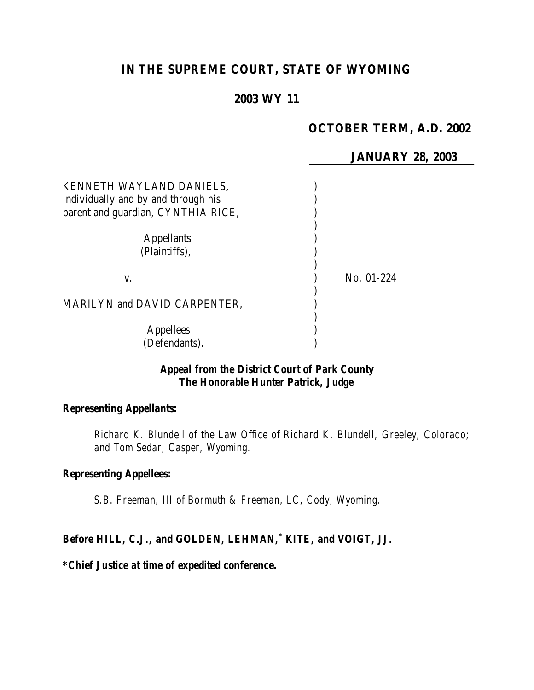# **IN THE SUPREME COURT, STATE OF WYOMING**

## **2003 WY 11**

## **OCTOBER TERM, A.D. 2002**

#### **JANUARY 28, 2003**

| KENNETH WAYLAND DANIELS,<br>individually and by and through his<br>parent and guardian, CYNTHIA RICE, |            |
|-------------------------------------------------------------------------------------------------------|------------|
| <b>Appellants</b><br>(Plaintiffs),                                                                    |            |
| V.                                                                                                    | No. 01-224 |
| MARILYN and DAVID CARPENTER,                                                                          |            |
| <b>Appellees</b><br>(Defendants).                                                                     |            |

## *Appeal from the District Court of Park County The Honorable Hunter Patrick, Judge*

# *Representing Appellants:*

*Richard K. Blundell of the Law Office of Richard K. Blundell, Greeley, Colorado; and Tom Sedar, Casper, Wyoming.*

#### *Representing Appellees:*

*S.B. Freeman, III of Bormuth & Freeman, LC, Cody, Wyoming.*

#### *Before HILL, C.J., and GOLDEN, LEHMAN,\* KITE, and VOIGT, JJ.*

## *\*Chief Justice at time of expedited conference.*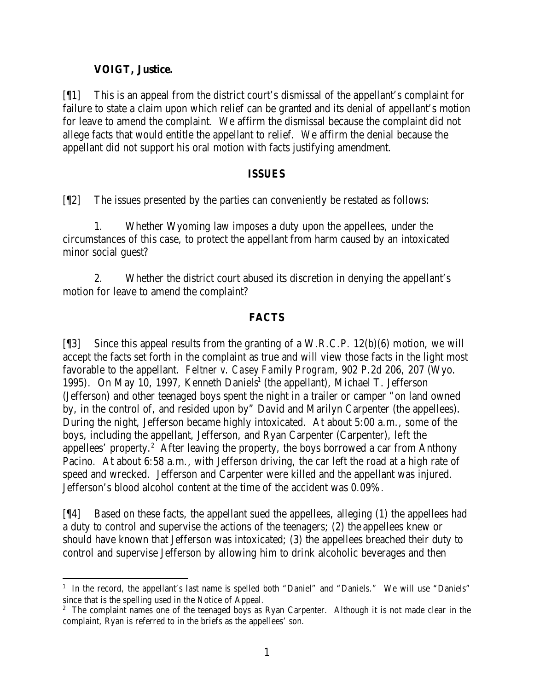## **VOIGT, Justice.**

[¶1] This is an appeal from the district court's dismissal of the appellant's complaint for failure to state a claim upon which relief can be granted and its denial of appellant's motion for leave to amend the complaint. We affirm the dismissal because the complaint did not allege facts that would entitle the appellant to relief. We affirm the denial because the appellant did not support his oral motion with facts justifying amendment.

#### **ISSUES**

[¶2] The issues presented by the parties can conveniently be restated as follows:

1. Whether Wyoming law imposes a duty upon the appellees, under the circumstances of this case, to protect the appellant from harm caused by an intoxicated minor social guest?

2. Whether the district court abused its discretion in denying the appellant's motion for leave to amend the complaint?

# **FACTS**

[¶3] Since this appeal results from the granting of a W.R.C.P. 12(b)(6) motion, we will accept the facts set forth in the complaint as true and will view those facts in the light most favorable to the appellant. *Feltner v. Casey Family Program*, 902 P.2d 206, 207 (Wyo. 1995). On May 10, 1997, Kenneth Daniels<sup>1</sup> (the appellant), Michael T. Jefferson (Jefferson) and other teenaged boys spent the night in a trailer or camper "on land owned by, in the control of, and resided upon by" David and Marilyn Carpenter (the appellees). During the night, Jefferson became highly intoxicated. At about 5:00 a.m., some of the boys, including the appellant, Jefferson, and Ryan Carpenter (Carpenter), left the appellees' property.<sup>2</sup> After leaving the property, the boys borrowed a car from Anthony Pacino. At about 6:58 a.m., with Jefferson driving, the car left the road at a high rate of speed and wrecked. Jefferson and Carpenter were killed and the appellant was injured. Jefferson's blood alcohol content at the time of the accident was 0.09%.

[¶4] Based on these facts, the appellant sued the appellees, alleging (1) the appellees had a duty to control and supervise the actions of the teenagers; (2) the appellees knew or should have known that Jefferson was intoxicated; (3) the appellees breached their duty to control and supervise Jefferson by allowing him to drink alcoholic beverages and then

 <sup>1</sup> In the record, the appellant's last name is spelled both "Daniel" and "Daniels." We will use "Daniels" since that is the spelling used in the Notice of Appeal.

<sup>&</sup>lt;sup>2</sup> The complaint names one of the teenaged boys as Ryan Carpenter. Although it is not made clear in the complaint, Ryan is referred to in the briefs as the appellees' son.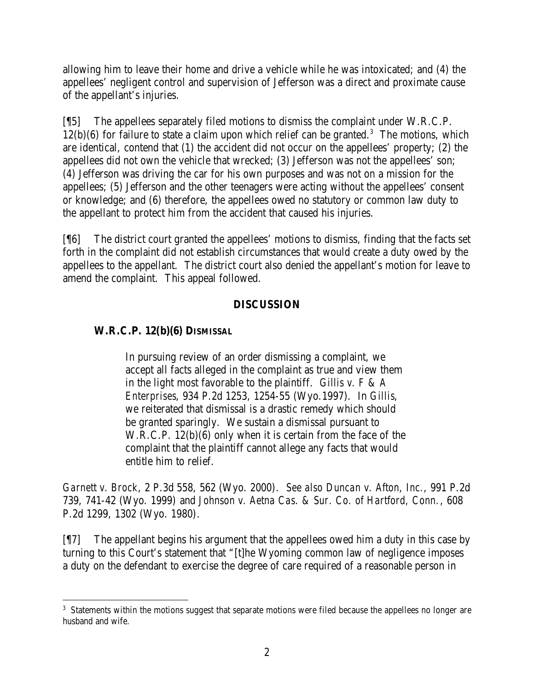allowing him to leave their home and drive a vehicle while he was intoxicated; and (4) the appellees' negligent control and supervision of Jefferson was a direct and proximate cause of the appellant's injuries.

[¶5] The appellees separately filed motions to dismiss the complaint under W.R.C.P.  $12(b)(6)$  for failure to state a claim upon which relief can be granted.<sup>3</sup> The motions, which are identical, contend that (1) the accident did not occur on the appellees' property; (2) the appellees did not own the vehicle that wrecked; (3) Jefferson was not the appellees' son; (4) Jefferson was driving the car for his own purposes and was not on a mission for the appellees; (5) Jefferson and the other teenagers were acting without the appellees' consent or knowledge; and (6) therefore, the appellees owed no statutory or common law duty to the appellant to protect him from the accident that caused his injuries.

[¶6] The district court granted the appellees' motions to dismiss, finding that the facts set forth in the complaint did not establish circumstances that would create a duty owed by the appellees to the appellant. The district court also denied the appellant's motion for leave to amend the complaint. This appeal followed.

## **DISCUSSION**

# **W.R.C.P. 12(b)(6) DISMISSAL**

In pursuing review of an order dismissing a complaint, we accept all facts alleged in the complaint as true and view them in the light most favorable to the plaintiff. *Gillis v. F & A Enterprises*, 934 P.2d 1253, 1254-55 (Wyo.1997). In *Gillis*, we reiterated that dismissal is a drastic remedy which should be granted sparingly. We sustain a dismissal pursuant to W.R.C.P. 12(b)(6) only when it is certain from the face of the complaint that the plaintiff cannot allege any facts that would entitle him to relief.

*Garnett v. Brock*, 2 P.3d 558, 562 (Wyo. 2000). *See also Duncan v. Afton, Inc.*, 991 P.2d 739, 741-42 (Wyo. 1999) and *Johnson v. Aetna Cas. & Sur. Co. of Hartford, Conn.*, 608 P.2d 1299, 1302 (Wyo. 1980).

[¶7] The appellant begins his argument that the appellees owed him a duty in this case by turning to this Court's statement that "[t]he Wyoming common law of negligence imposes a duty on the defendant to exercise the degree of care required of a reasonable person in

 <sup>3</sup> Statements within the motions suggest that separate motions were filed because the appellees no longer are husband and wife.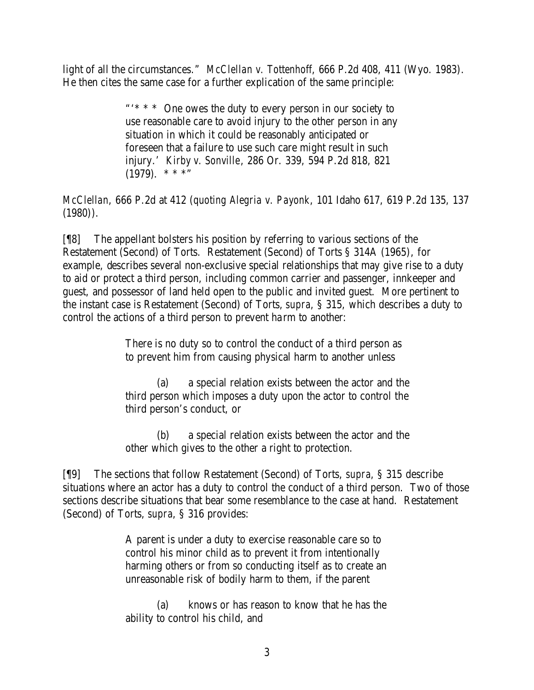light of all the circumstances." *McClellan v. Tottenhoff*, 666 P.2d 408, 411 (Wyo. 1983). He then cites the same case for a further explication of the same principle:

> "'\* \* \* One owes the duty to every person in our society to use reasonable care to avoid injury to the other person in any situation in which it could be reasonably anticipated or foreseen that a failure to use such care might result in such injury.' *Kirby v. Sonville*, 286 Or. 339, 594 P.2d 818, 821  $(1979)$ . \* \* \*"

*McClellan*, 666 P.2d at 412 (*quoting Alegria v. Payonk*, 101 Idaho 617, 619 P.2d 135, 137  $(1980)$ .

[¶8] The appellant bolsters his position by referring to various sections of the Restatement (Second) of Torts. Restatement (Second) of Torts § 314A (1965), for example, describes several non-exclusive special relationships that may give rise to a duty to aid or protect a third person, including common carrier and passenger, innkeeper and guest, and possessor of land held open to the public and invited guest. More pertinent to the instant case is Restatement (Second) of Torts, *supra*, § 315, which describes a duty to control the actions of a third person to prevent harm to another:

> There is no duty so to control the conduct of a third person as to prevent him from causing physical harm to another unless

(a) a special relation exists between the actor and the third person which imposes a duty upon the actor to control the third person's conduct, or

(b) a special relation exists between the actor and the other which gives to the other a right to protection.

[¶9] The sections that follow Restatement (Second) of Torts, *supra*, § 315 describe situations where an actor has a duty to control the conduct of a third person. Two of those sections describe situations that bear some resemblance to the case at hand. Restatement (Second) of Torts, *supra*, § 316 provides:

> A parent is under a duty to exercise reasonable care so to control his minor child as to prevent it from intentionally harming others or from so conducting itself as to create an unreasonable risk of bodily harm to them, if the parent

> (a) knows or has reason to know that he has the ability to control his child, and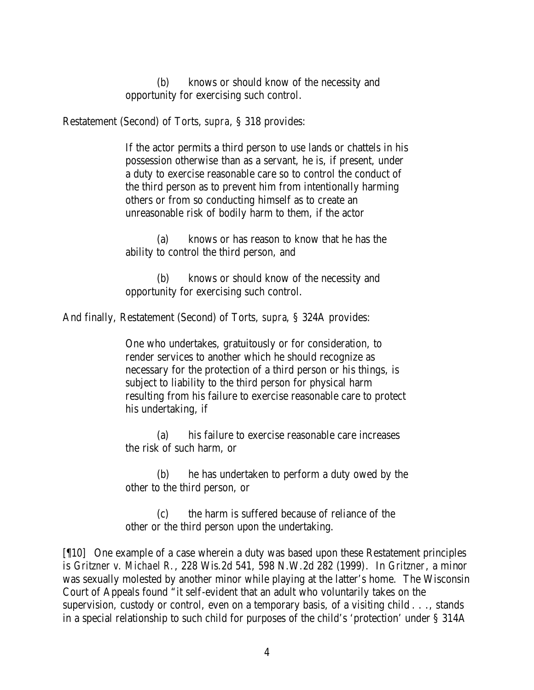(b) knows or should know of the necessity and opportunity for exercising such control.

Restatement (Second) of Torts, *supra*, § 318 provides:

If the actor permits a third person to use lands or chattels in his possession otherwise than as a servant, he is, if present, under a duty to exercise reasonable care so to control the conduct of the third person as to prevent him from intentionally harming others or from so conducting himself as to create an unreasonable risk of bodily harm to them, if the actor

(a) knows or has reason to know that he has the ability to control the third person, and

(b) knows or should know of the necessity and opportunity for exercising such control.

And finally, Restatement (Second) of Torts, *supra*, § 324A provides:

One who undertakes, gratuitously or for consideration, to render services to another which he should recognize as necessary for the protection of a third person or his things, is subject to liability to the third person for physical harm resulting from his failure to exercise reasonable care to protect his undertaking, if

(a) his failure to exercise reasonable care increases the risk of such harm, or

(b) he has undertaken to perform a duty owed by the other to the third person, or

(c) the harm is suffered because of reliance of the other or the third person upon the undertaking.

[¶10] One example of a case wherein a duty was based upon these Restatement principles is *Gritzner v. Michael R.*, 228 Wis.2d 541, 598 N.W.2d 282 (1999). In *Gritzner*, a minor was sexually molested by another minor while playing at the latter's home. The Wisconsin Court of Appeals found "it self-evident that an adult who voluntarily takes on the supervision, custody or control, even on a temporary basis, of a visiting child . . ., stands in a special relationship to such child for purposes of the child's 'protection' under § 314A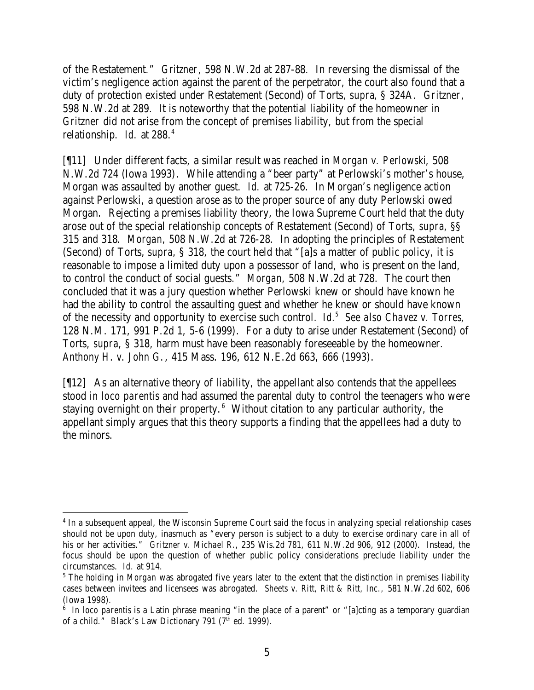of the Restatement." *Gritzner*, 598 N.W.2d at 287-88. In reversing the dismissal of the victim's negligence action against the parent of the perpetrator, the court also found that a duty of protection existed under Restatement (Second) of Torts, *supra*, § 324A. *Gritzner*, 598 N.W.2d at 289. It is noteworthy that the potential liability of the homeowner in *Gritzner* did not arise from the concept of premises liability, but from the special relationship. *Id.* at 288.<sup>4</sup>

[¶11] Under different facts, a similar result was reached in *Morgan v. Perlowski*, 508 N.W.2d 724 (Iowa 1993). While attending a "beer party" at Perlowski's mother's house, Morgan was assaulted by another guest. *Id.* at 725-26. In Morgan's negligence action against Perlowski, a question arose as to the proper source of any duty Perlowski owed Morgan. Rejecting a premises liability theory, the Iowa Supreme Court held that the duty arose out of the special relationship concepts of Restatement (Second) of Torts, *supra*, §§ 315 and 318. *Morgan*, 508 N.W.2d at 726-28. In adopting the principles of Restatement (Second) of Torts, *supra*, § 318, the court held that "[a]s a matter of public policy, it is reasonable to impose a limited duty upon a possessor of land, who is present on the land, to control the conduct of social guests." *Morgan*, 508 N.W.2d at 728. The court then concluded that it was a jury question whether Perlowski knew or should have known he had the ability to control the assaulting guest and whether he knew or should have known of the necessity and opportunity to exercise such control. *Id.<sup>5</sup> See also Chavez v. Torres*, 128 N.M. 171, 991 P.2d 1, 5-6 (1999). For a duty to arise under Restatement (Second) of Torts, *supra*, § 318, harm must have been reasonably foreseeable by the homeowner. *Anthony H. v. John G.*, 415 Mass. 196, 612 N.E.2d 663, 666 (1993).

[¶12] As an alternative theory of liability, the appellant also contends that the appellees stood *in loco parentis* and had assumed the parental duty to control the teenagers who were staying overnight on their property. $6$  Without citation to any particular authority, the appellant simply argues that this theory supports a finding that the appellees had a duty to the minors.

<sup>&</sup>lt;sup>4</sup> In a subsequent appeal, the Wisconsin Supreme Court said the focus in analyzing special relationship cases should not be upon duty, inasmuch as "every person is subject to a duty to exercise ordinary care in all of his or her activities." *Gritzner v. Michael R.*, 235 Wis.2d 781, 611 N.W.2d 906, 912 (2000). Instead, the focus should be upon the question of whether public policy considerations preclude liability under the circumstances. *Id.* at 914.

<sup>&</sup>lt;sup>5</sup> The holding in *Morgan* was abrogated five years later to the extent that the distinction in premises liability cases between invitees and licensees was abrogated. *Sheets v. Ritt, Ritt & Ritt, Inc.,* 581 N.W.2d 602, 606 (Iowa 1998).

<sup>&</sup>lt;sup>6</sup> In loco parentis is a Latin phrase meaning "in the place of a parent" or "[a]cting as a temporary guardian of a child." Black's Law Dictionary 791 (7<sup>th</sup> ed. 1999).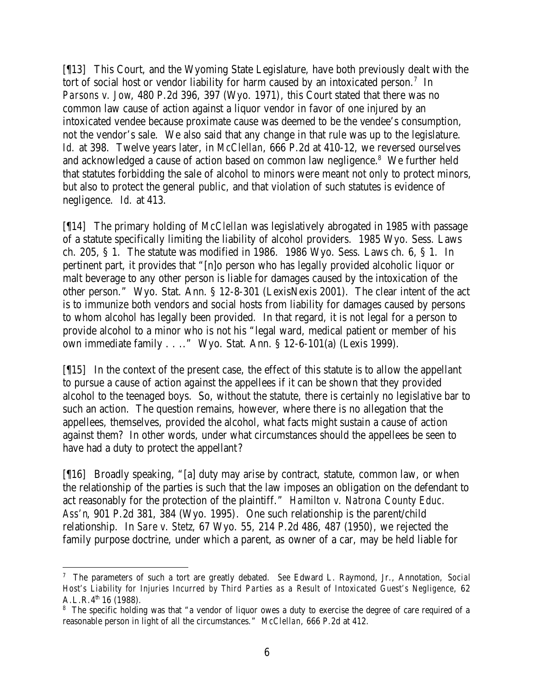[¶13] This Court, and the Wyoming State Legislature, have both previously dealt with the tort of social host or vendor liability for harm caused by an intoxicated person.<sup>7</sup> In *Parsons v. Jow*, 480 P.2d 396, 397 (Wyo. 1971), this Court stated that there was no common law cause of action against a liquor vendor in favor of one injured by an intoxicated vendee because proximate cause was deemed to be the vendee's consumption, not the vendor's sale. We also said that any change in that rule was up to the legislature. *Id.* at 398. Twelve years later, in *McClellan*, 666 P.2d at 410-12, we reversed ourselves and acknowledged a cause of action based on common law negligence.<sup>8</sup> We further held that statutes forbidding the sale of alcohol to minors were meant not only to protect minors, but also to protect the general public, and that violation of such statutes is evidence of negligence. *Id.* at 413.

[¶14] The primary holding of *McClellan* was legislatively abrogated in 1985 with passage of a statute specifically limiting the liability of alcohol providers. 1985 Wyo. Sess. Laws ch. 205, § 1. The statute was modified in 1986. 1986 Wyo. Sess. Laws ch. 6, § 1. In pertinent part, it provides that "[n]o person who has legally provided alcoholic liquor or malt beverage to any other person is liable for damages caused by the intoxication of the other person." Wyo. Stat. Ann. § 12-8-301 (LexisNexis 2001). The clear intent of the act is to immunize both vendors and social hosts from liability for damages caused by persons to whom alcohol has legally been provided. In that regard, it is not legal for a person to provide alcohol to a minor who is not his "legal ward, medical patient or member of his own immediate family . . .." Wyo. Stat. Ann. § 12-6-101(a) (Lexis 1999).

[¶15] In the context of the present case, the effect of this statute is to allow the appellant to pursue a cause of action against the appellees if it can be shown that they provided alcohol to the teenaged boys. So, without the statute, there is certainly no legislative bar to such an action. The question remains, however, where there is no allegation that the appellees, themselves, provided the alcohol, what facts might sustain a cause of action against them? In other words, under what circumstances should the appellees be seen to have had a duty to protect the appellant?

[¶16] Broadly speaking, "[a] duty may arise by contract, statute, common law, or when the relationship of the parties is such that the law imposes an obligation on the defendant to act reasonably for the protection of the plaintiff." *Hamilton v. Natrona County Educ. Ass'n*, 901 P.2d 381, 384 (Wyo. 1995). One such relationship is the parent/child relationship. In *Sare v. Stetz*, 67 Wyo. 55, 214 P.2d 486, 487 (1950), we rejected the family purpose doctrine, under which a parent, as owner of a car, may be held liable for

<sup>7</sup> The parameters of such a tort are greatly debated. *See* Edward L. Raymond, Jr., Annotation, *Social Host's Liability for Injuries Incurred by Third Parties as a Result of Intoxicated Guest's Negligence*, 62  $A.L.R.4<sup>th</sup> 16 (1988).$ 

<sup>&</sup>lt;sup>8</sup> The specific holding was that "a vendor of liquor owes a duty to exercise the degree of care required of a reasonable person in light of all the circumstances." *McClellan*, 666 P.2d at 412.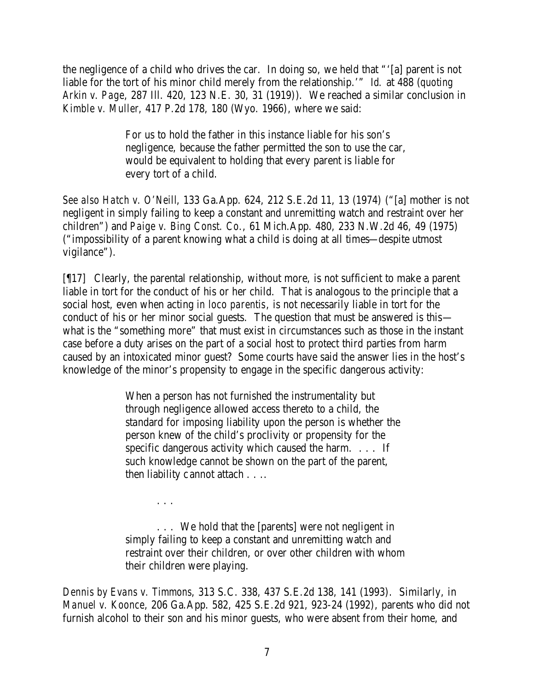the negligence of a child who drives the car. In doing so, we held that "'[a] parent is not liable for the tort of his minor child merely from the relationship.'" *Id.* at 488 (*quoting Arkin v. Page*, 287 Ill. 420, 123 N.E. 30, 31 (1919)). We reached a similar conclusion in *Kimble v. Muller*, 417 P.2d 178, 180 (Wyo. 1966), where we said:

> For us to hold the father in this instance liable for his son's negligence, because the father permitted the son to use the car, would be equivalent to holding that every parent is liable for every tort of a child.

*See also Hatch v. O'Neill*, 133 Ga.App. 624, 212 S.E.2d 11, 13 (1974) ("[a] mother is not negligent in simply failing to keep a constant and unremitting watch and restraint over her children") and *Paige v. Bing Const. Co.*, 61 Mich.App. 480, 233 N.W.2d 46, 49 (1975) ("impossibility of a parent knowing what a child is doing at all times—despite utmost vigilance").

[¶17] Clearly, the parental relationship, without more, is not sufficient to make a parent liable in tort for the conduct of his or her child. That is analogous to the principle that a social host, even when acting *in loco parentis*, is not necessarily liable in tort for the conduct of his or her minor social guests. The question that must be answered is this what is the "something more" that must exist in circumstances such as those in the instant case before a duty arises on the part of a social host to protect third parties from harm caused by an intoxicated minor guest? Some courts have said the answer lies in the host's knowledge of the minor's propensity to engage in the specific dangerous activity:

> When a person has not furnished the instrumentality but through negligence allowed access thereto to a child, the standard for imposing liability upon the person is whether the person knew of the child's proclivity or propensity for the specific dangerous activity which caused the harm. . . . If such knowledge cannot be shown on the part of the parent, then liability cannot attach . . ..

. . . We hold that the [parents] were not negligent in simply failing to keep a constant and unremitting watch and restraint over their children, or over other children with whom their children were playing.

. . .

*Dennis by Evans v. Timmons*, 313 S.C. 338, 437 S.E.2d 138, 141 (1993). Similarly, in *Manuel v. Koonce*, 206 Ga.App. 582, 425 S.E.2d 921, 923-24 (1992), parents who did not furnish alcohol to their son and his minor guests, who were absent from their home, and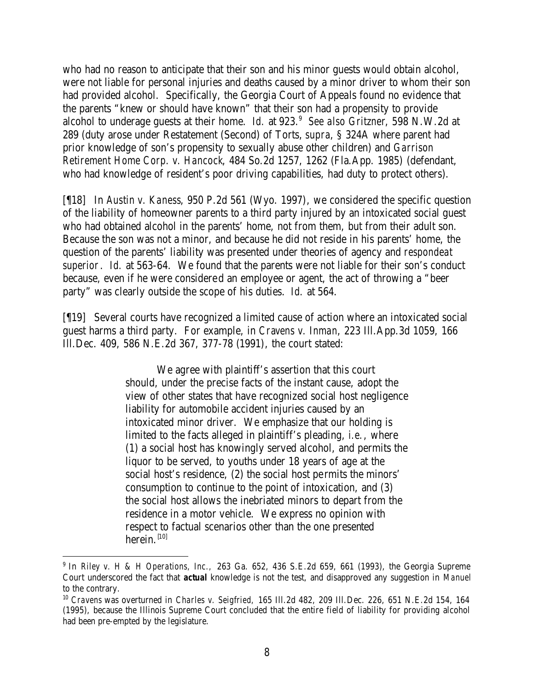who had no reason to anticipate that their son and his minor guests would obtain alcohol, were not liable for personal injuries and deaths caused by a minor driver to whom their son had provided alcohol. Specifically, the Georgia Court of Appeals found no evidence that the parents "knew or should have known" that their son had a propensity to provide alcohol to underage guests at their home. *Id.* at 923.<sup>9</sup> See also Gritzner, 598 N.W.2d at 289 (duty arose under Restatement (Second) of Torts, *supra*, § 324A where parent had prior knowledge of son's propensity to sexually abuse other children) and *Garrison Retirement Home Corp. v. Hancock*, 484 So.2d 1257, 1262 (Fla.App. 1985) (defendant, who had knowledge of resident's poor driving capabilities, had duty to protect others).

[¶18] In *Austin v. Kaness*, 950 P.2d 561 (Wyo. 1997), we considered the specific question of the liability of homeowner parents to a third party injured by an intoxicated social guest who had obtained alcohol in the parents' home, not from them, but from their adult son. Because the son was not a minor, and because he did not reside in his parents' home, the question of the parents' liability was presented under theories of agency and *respondeat superior*. *Id.* at 563-64. We found that the parents were not liable for their son's conduct because, even if he were considered an employee or agent, the act of throwing a "beer party" was clearly outside the scope of his duties. *Id.* at 564.

[¶19] Several courts have recognized a limited cause of action where an intoxicated social guest harms a third party. For example, in *Cravens v. Inman*, 223 Ill.App.3d 1059, 166 Ill.Dec. 409, 586 N.E.2d 367, 377-78 (1991), the court stated:

> We agree with plaintiff's assertion that this court should, under the precise facts of the instant cause, adopt the view of other states that have recognized social host negligence liability for automobile accident injuries caused by an intoxicated minor driver. We emphasize that our holding is limited to the facts alleged in plaintiff's pleading, *i.e.*, where (1) a social host has knowingly served alcohol, and permits the liquor to be served, to youths under 18 years of age at the social host's residence, (2) the social host permits the minors' consumption to continue to the point of intoxication, and (3) the social host allows the inebriated minors to depart from the residence in a motor vehicle. We express no opinion with respect to factual scenarios other than the one presented herein. $[10]$

<sup>9</sup> In *Riley v. H & H Operations, Inc.,* 263 Ga. 652, 436 S.E.2d 659, 661 (1993), the Georgia Supreme Court underscored the fact that *actual* knowledge is not the test, and disapproved any suggestion in *Manuel* to the contrary.

<sup>10</sup> *Cravens* was overturned in *Charles v. Seigfried,* 165 Ill.2d 482, 209 Ill.Dec. 226, 651 N.E.2d 154, 164 (1995), because the Illinois Supreme Court concluded that the entire field of liability for providing alcohol had been pre-empted by the legislature.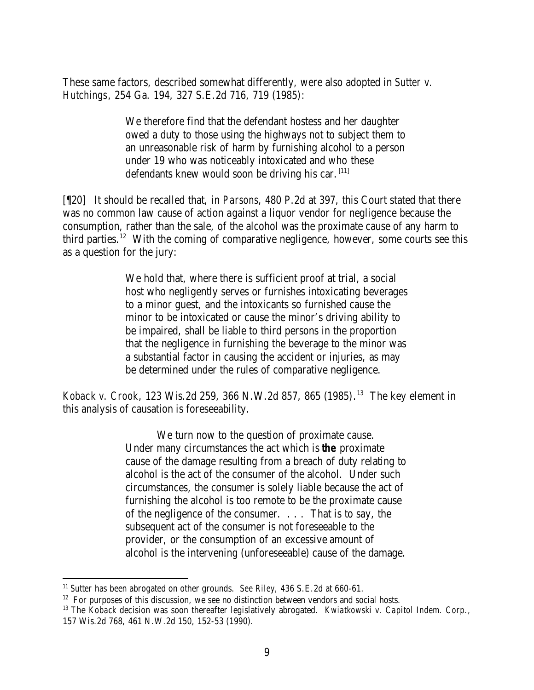These same factors, described somewhat differently, were also adopted in *Sutter v. Hutchings*, 254 Ga. 194, 327 S.E.2d 716, 719 (1985):

> We therefore find that the defendant hostess and her daughter owed a duty to those using the highways not to subject them to an unreasonable risk of harm by furnishing alcohol to a person under 19 who was noticeably intoxicated and who these defendants knew would soon be driving his car.  $[11]$

[¶20] It should be recalled that, in *Parsons*, 480 P.2d at 397, this Court stated that there was no common law cause of action against a liquor vendor for negligence because the consumption, rather than the sale, of the alcohol was the proximate cause of any harm to third parties.<sup>12</sup> With the coming of comparative negligence, however, some courts see this as a question for the jury:

> We hold that, where there is sufficient proof at trial, a social host who negligently serves or furnishes intoxicating beverages to a minor guest, and the intoxicants so furnished cause the minor to be intoxicated or cause the minor's driving ability to be impaired, shall be liable to third persons in the proportion that the negligence in furnishing the beverage to the minor was a substantial factor in causing the accident or injuries, as may be determined under the rules of comparative negligence.

*Koback v. Crook*, 123 Wis.2d 259, 366 N.W.2d 857, 865 (1985). <sup>13</sup> The key element in this analysis of causation is foreseeability.

> We turn now to the question of proximate cause. Under many circumstances the act which is *the* proximate cause of the damage resulting from a breach of duty relating to alcohol is the act of the consumer of the alcohol. Under such circumstances, the consumer is solely liable because the act of furnishing the alcohol is too remote to be the proximate cause of the negligence of the consumer. . . . That is to say, the subsequent act of the consumer is not foreseeable to the provider, or the consumption of an excessive amount of alcohol is the intervening (unforeseeable) cause of the damage.

<sup>11</sup> *Sutter* has been abrogated on other grounds. *See Riley,* 436 S.E.2d at 660-61.

 $12$  For purposes of this discussion, we see no distinction between vendors and social hosts.

<sup>13</sup> The *Koback* decision was soon thereafter legislatively abrogated. *Kwiatkowski v. Capitol Indem. Corp.,*  157 Wis.2d 768, 461 N.W.2d 150, 152-53 (1990).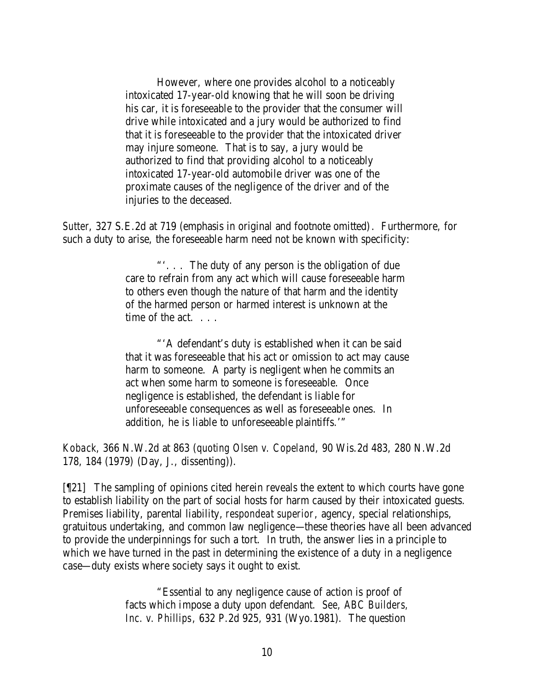However, where one provides alcohol to a noticeably intoxicated 17-year-old knowing that he will soon be driving his car, it is foreseeable to the provider that the consumer will drive while intoxicated and a jury would be authorized to find that it is foreseeable to the provider that the intoxicated driver may injure someone. That is to say, a jury would be authorized to find that providing alcohol to a noticeably intoxicated 17-year-old automobile driver was one of the proximate causes of the negligence of the driver and of the injuries to the deceased.

*Sutter*, 327 S.E.2d at 719 (emphasis in original and footnote omitted). Furthermore, for such a duty to arise, the foreseeable harm need not be known with specificity:

> "'. . . The duty of any person is the obligation of due care to refrain from any act which will cause foreseeable harm to others even though the nature of that harm and the identity of the harmed person or harmed interest is unknown at the time of the act.

"'A defendant's duty is established when it can be said that it was foreseeable that his act or omission to act may cause harm to someone. A party is negligent when he commits an act when some harm to someone is foreseeable. Once negligence is established, the defendant is liable for unforeseeable consequences as well as foreseeable ones. In addition, he is liable to unforeseeable plaintiffs.'"

*Koback*, 366 N.W.2d at 863 (*quoting Olsen v. Copeland*, 90 Wis.2d 483, 280 N.W.2d 178, 184 (1979) (Day, J., dissenting)).

[¶21] The sampling of opinions cited herein reveals the extent to which courts have gone to establish liability on the part of social hosts for harm caused by their intoxicated guests. Premises liability, parental liability, *respondeat superior*, agency, special relationships, gratuitous undertaking, and common law negligence—these theories have all been advanced to provide the underpinnings for such a tort. In truth, the answer lies in a principle to which we have turned in the past in determining the existence of a duty in a negligence case—duty exists where society says it ought to exist.

> "Essential to any negligence cause of action is proof of facts which impose a duty upon defendant. *See, ABC Builders, Inc. v. Phillips*, 632 P.2d 925, 931 (Wyo.1981). The question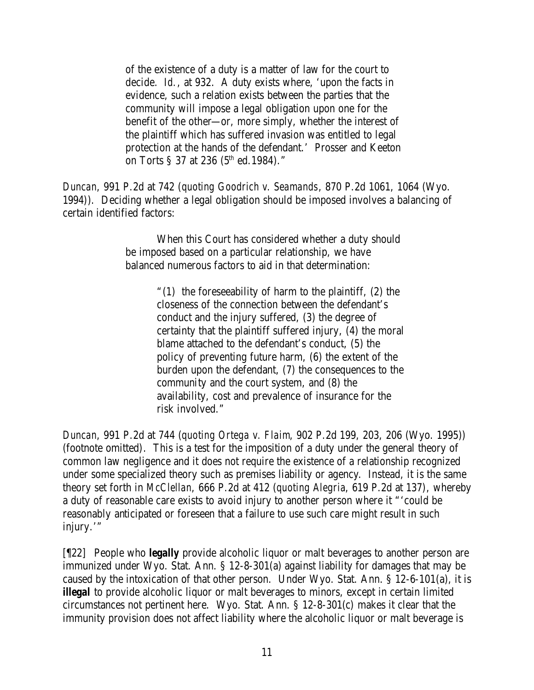of the existence of a duty is a matter of law for the court to decide. *Id.*, at 932. A duty exists where, 'upon the facts in evidence, such a relation exists between the parties that the community will impose a legal obligation upon one for the benefit of the other—or, more simply, whether the interest of the plaintiff which has suffered invasion was entitled to legal protection at the hands of the defendant.' Prosser and Keeton on Torts § 37 at 236 ( $5<sup>th</sup>$  ed.1984)."

*Duncan*, 991 P.2d at 742 (*quoting Goodrich v. Seamands*, 870 P.2d 1061, 1064 (Wyo. 1994)). Deciding whether a legal obligation should be imposed involves a balancing of certain identified factors:

> When this Court has considered whether a duty should be imposed based on a particular relationship, we have balanced numerous factors to aid in that determination:

> > "(1) the foreseeability of harm to the plaintiff, (2) the closeness of the connection between the defendant's conduct and the injury suffered, (3) the degree of certainty that the plaintiff suffered injury, (4) the moral blame attached to the defendant's conduct, (5) the policy of preventing future harm, (6) the extent of the burden upon the defendant, (7) the consequences to the community and the court system, and (8) the availability, cost and prevalence of insurance for the risk involved."

*Duncan*, 991 P.2d at 744 (*quoting Ortega v. Flaim*, 902 P.2d 199, 203, 206 (Wyo. 1995)) (footnote omitted). This is a test for the imposition of a duty under the general theory of common law negligence and it does not require the existence of a relationship recognized under some specialized theory such as premises liability or agency. Instead, it is the same theory set forth in *McClellan*, 666 P.2d at 412 (*quoting Alegria*, 619 P.2d at 137), whereby a duty of reasonable care exists to avoid injury to another person where it "'could be reasonably anticipated or foreseen that a failure to use such care might result in such injury.'"

[¶22] People who *legally* provide alcoholic liquor or malt beverages to another person are immunized under Wyo. Stat. Ann. § 12-8-301(a) against liability for damages that may be caused by the intoxication of that other person. Under Wyo. Stat. Ann. § 12-6-101(a), it is *illegal* to provide alcoholic liquor or malt beverages to minors, except in certain limited circumstances not pertinent here. Wyo. Stat. Ann. § 12-8-301(c) makes it clear that the immunity provision does not affect liability where the alcoholic liquor or malt beverage is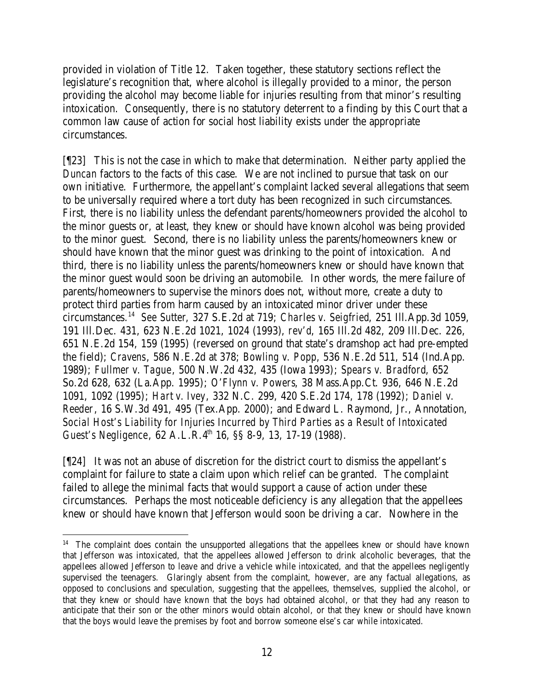provided in violation of Title 12. Taken together, these statutory sections reflect the legislature's recognition that, where alcohol is illegally provided to a minor, the person providing the alcohol may become liable for injuries resulting from that minor's resulting intoxication. Consequently, there is no statutory deterrent to a finding by this Court that a common law cause of action for social host liability exists under the appropriate circumstances.

[¶23] This is not the case in which to make that determination. Neither party applied the *Duncan* factors to the facts of this case. We are not inclined to pursue that task on our own initiative. Furthermore, the appellant's complaint lacked several allegations that seem to be universally required where a tort duty has been recognized in such circumstances. First, there is no liability unless the defendant parents/homeowners provided the alcohol to the minor guests or, at least, they knew or should have known alcohol was being provided to the minor guest. Second, there is no liability unless the parents/homeowners knew or should have known that the minor guest was drinking to the point of intoxication. And third, there is no liability unless the parents/homeowners knew or should have known that the minor guest would soon be driving an automobile. In other words, the mere failure of parents/homeowners to supervise the minors does not, without more, create a duty to protect third parties from harm caused by an intoxicated minor driver under these circumstances.<sup>14</sup> *See Sutter*, 327 S.E.2d at 719; *Charles v. Seigfried*, 251 Ill.App.3d 1059, 191 Ill.Dec. 431, 623 N.E.2d 1021, 1024 (1993), *rev'd*, 165 Ill.2d 482, 209 Ill.Dec. 226, 651 N.E.2d 154, 159 (1995) (reversed on ground that state's dramshop act had pre-empted the field); *Cravens*, 586 N.E.2d at 378; *Bowling v. Popp*, 536 N.E.2d 511, 514 (Ind.App. 1989); *Fullmer v. Tague*, 500 N.W.2d 432, 435 (Iowa 1993); *Spears v. Bradford*, 652 So.2d 628, 632 (La.App. 1995); *O'Flynn v. Powers*, 38 Mass.App.Ct. 936, 646 N.E.2d 1091, 1092 (1995); *Hart v. Ivey*, 332 N.C. 299, 420 S.E.2d 174, 178 (1992); *Daniel v. Reeder*, 16 S.W.3d 491, 495 (Tex.App. 2000); and Edward L. Raymond, Jr., Annotation, *Social Host's Liability for Injuries Incurred by Third Parties as a Result of Intoxicated Guest's Negligence*, 62 A.L.R.4<sup>th</sup> 16, §§ 8-9, 13, 17-19 (1988).

[¶24] It was not an abuse of discretion for the district court to dismiss the appellant's complaint for failure to state a claim upon which relief can be granted. The complaint failed to allege the minimal facts that would support a cause of action under these circumstances. Perhaps the most noticeable deficiency is any allegation that the appellees knew or should have known that Jefferson would soon be driving a car. Nowhere in the

<sup>&</sup>lt;sup>14</sup> The complaint does contain the unsupported allegations that the appellees knew or should have known that Jefferson was intoxicated, that the appellees allowed Jefferson to drink alcoholic beverages, that the appellees allowed Jefferson to leave and drive a vehicle while intoxicated, and that the appellees negligently supervised the teenagers. Glaringly absent from the complaint, however, are any factual allegations, as opposed to conclusions and speculation, suggesting that the appellees, themselves, supplied the alcohol, or that they knew or should have known that the boys had obtained alcohol, or that they had any reason to anticipate that their son or the other minors would obtain alcohol, or that they knew or should have known that the boys would leave the premises by foot and borrow someone else's car while intoxicated.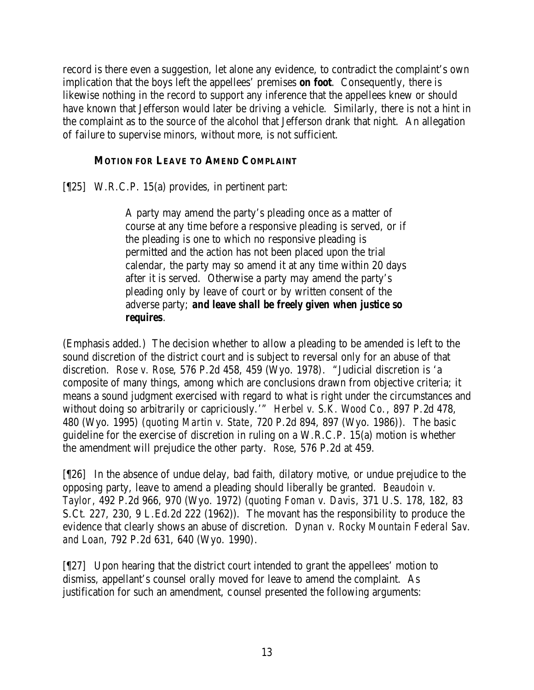record is there even a suggestion, let alone any evidence, to contradict the complaint's own implication that the boys left the appellees' premises *on foot*. Consequently, there is likewise nothing in the record to support any inference that the appellees knew or should have known that Jefferson would later be driving a vehicle. Similarly, there is not a hint in the complaint as to the source of the alcohol that Jefferson drank that night. An allegation of failure to supervise minors, without more, is not sufficient.

## **MOTION FOR LEAVE TO AMEND COMPLAINT**

[¶25] W.R.C.P. 15(a) provides, in pertinent part:

A party may amend the party's pleading once as a matter of course at any time before a responsive pleading is served, or if the pleading is one to which no responsive pleading is permitted and the action has not been placed upon the trial calendar, the party may so amend it at any time within 20 days after it is served. Otherwise a party may amend the party's pleading only by leave of court or by written consent of the adverse party; *and leave shall be freely given when justice so requires*.

(Emphasis added.) The decision whether to allow a pleading to be amended is left to the sound discretion of the district court and is subject to reversal only for an abuse of that discretion. *Rose v. Rose*, 576 P.2d 458, 459 (Wyo. 1978). "Judicial discretion is 'a composite of many things, among which are conclusions drawn from objective criteria; it means a sound judgment exercised with regard to what is right under the circumstances and without doing so arbitrarily or capriciously.'" *Herbel v. S.K. Wood Co.*, 897 P.2d 478, 480 (Wyo. 1995) (*quoting Martin v. State*, 720 P.2d 894, 897 (Wyo. 1986)). The basic guideline for the exercise of discretion in ruling on a W.R.C.P. 15(a) motion is whether the amendment will prejudice the other party. *Rose*, 576 P.2d at 459.

[¶26] In the absence of undue delay, bad faith, dilatory motive, or undue prejudice to the opposing party, leave to amend a pleading should liberally be granted. *Beaudoin v. Taylor*, 492 P.2d 966, 970 (Wyo. 1972) (*quoting Foman v. Davis*, 371 U.S. 178, 182, 83 S.Ct. 227, 230, 9 L.Ed.2d 222 (1962)). The movant has the responsibility to produce the evidence that clearly shows an abuse of discretion. *Dynan v. Rocky Mountain Federal Sav. and Loan*, 792 P.2d 631, 640 (Wyo. 1990).

[¶27] Upon hearing that the district court intended to grant the appellees' motion to dismiss, appellant's counsel orally moved for leave to amend the complaint. As justification for such an amendment, counsel presented the following arguments: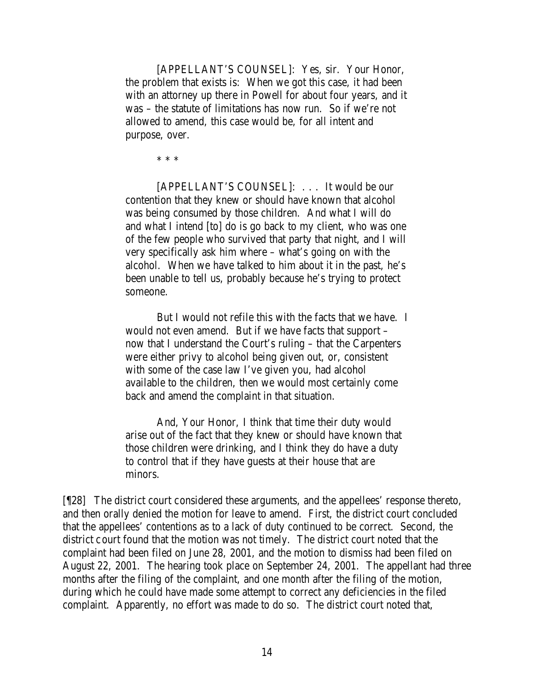[APPELLANT'S COUNSEL]: Yes, sir. Your Honor, the problem that exists is: When we got this case, it had been with an attorney up there in Powell for about four years, and it was – the statute of limitations has now run. So if we're not allowed to amend, this case would be, for all intent and purpose, over.

\* \* \*

[APPELLANT'S COUNSEL]: . . . It would be our contention that they knew or should have known that alcohol was being consumed by those children. And what I will do and what I intend [to] do is go back to my client, who was one of the few people who survived that party that night, and I will very specifically ask him where – what's going on with the alcohol. When we have talked to him about it in the past, he's been unable to tell us, probably because he's trying to protect someone.

But I would not refile this with the facts that we have. I would not even amend. But if we have facts that support – now that I understand the Court's ruling – that the Carpenters were either privy to alcohol being given out, or, consistent with some of the case law I've given you, had alcohol available to the children, then we would most certainly come back and amend the complaint in that situation.

And, Your Honor, I think that time their duty would arise out of the fact that they knew or should have known that those children were drinking, and I think they do have a duty to control that if they have guests at their house that are minors.

[¶28] The district court considered these arguments, and the appellees' response thereto, and then orally denied the motion for leave to amend. First, the district court concluded that the appellees' contentions as to a lack of duty continued to be correct. Second, the district court found that the motion was not timely. The district court noted that the complaint had been filed on June 28, 2001, and the motion to dismiss had been filed on August 22, 2001. The hearing took place on September 24, 2001. The appellant had three months after the filing of the complaint, and one month after the filing of the motion, during which he could have made some attempt to correct any deficiencies in the filed complaint. Apparently, no effort was made to do so. The district court noted that,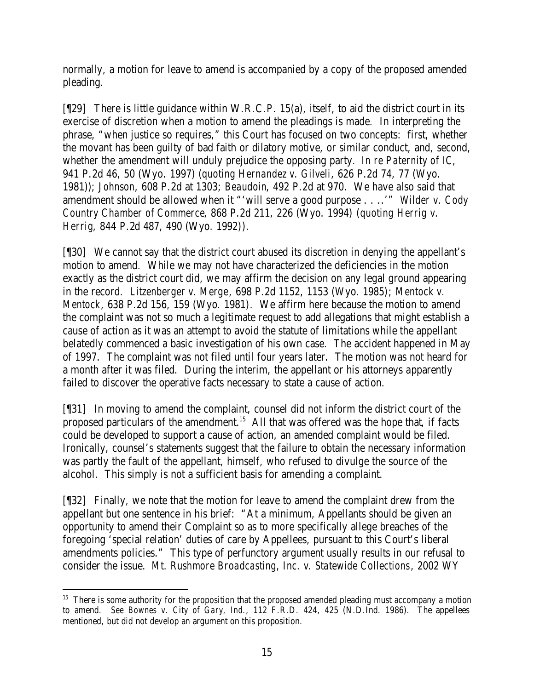normally, a motion for leave to amend is accompanied by a copy of the proposed amended pleading.

 $[$ [29] There is little guidance within W.R.C.P. 15(a), itself, to aid the district court in its exercise of discretion when a motion to amend the pleadings is made. In interpreting the phrase, "when justice so requires," this Court has focused on two concepts: first, whether the movant has been guilty of bad faith or dilatory motive, or similar conduct, and, second, whether the amendment will unduly prejudice the opposing party. *In re Paternity of IC*, 941 P.2d 46, 50 (Wyo. 1997) (*quoting Hernandez v. Gilveli*, 626 P.2d 74, 77 (Wyo. 1981)); *Johnson*, 608 P.2d at 1303; *Beaudoin*, 492 P.2d at 970. We have also said that amendment should be allowed when it "'will serve a good purpose . . ..'" *Wilder v. Cody Country Chamber of Commerce*, 868 P.2d 211, 226 (Wyo. 1994) (*quoting Herrig v. Herrig*, 844 P.2d 487, 490 (Wyo. 1992)).

[¶30] We cannot say that the district court abused its discretion in denying the appellant's motion to amend. While we may not have characterized the deficiencies in the motion exactly as the district court did, we may affirm the decision on any legal ground appearing in the record. *Litzenberger v. Merge*, 698 P.2d 1152, 1153 (Wyo. 1985); *Mentock v. Mentock*, 638 P.2d 156, 159 (Wyo. 1981). We affirm here because the motion to amend the complaint was not so much a legitimate request to add allegations that might establish a cause of action as it was an attempt to avoid the statute of limitations while the appellant belatedly commenced a basic investigation of his own case. The accident happened in May of 1997. The complaint was not filed until four years later. The motion was not heard for a month after it was filed. During the interim, the appellant or his attorneys apparently failed to discover the operative facts necessary to state a cause of action.

[¶31] In moving to amend the complaint, counsel did not inform the district court of the proposed particulars of the amendment.<sup>15</sup> All that was offered was the hope that, if facts could be developed to support a cause of action, an amended complaint would be filed. Ironically, counsel's statements suggest that the failure to obtain the necessary information was partly the fault of the appellant, himself, who refused to divulge the source of the alcohol. This simply is not a sufficient basis for amending a complaint.

[¶32] Finally, we note that the motion for leave to amend the complaint drew from the appellant but one sentence in his brief: "At a minimum, Appellants should be given an opportunity to amend their Complaint so as to more specifically allege breaches of the foregoing 'special relation' duties of care by Appellees, pursuant to this Court's liberal amendments policies." This type of perfunctory argument usually results in our refusal to consider the issue. *Mt. Rushmore Broadcasting, Inc. v. Statewide Collections*, 2002 WY

 <sup>15</sup> There is some authority for the proposition that the proposed amended pleading must accompany a motion to amend. *See Bownes v. City of Gary, Ind.*, 112 F.R.D. 424, 425 (N.D.Ind. 1986). The appellees mentioned, but did not develop an argument on this proposition.